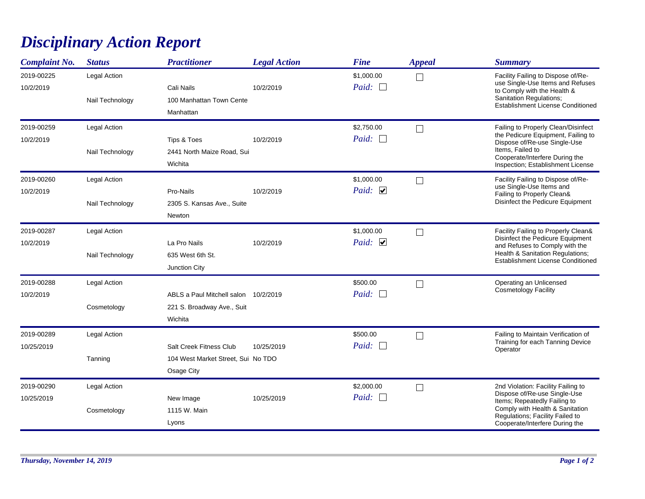## *Disciplinary Action Report*

| <b>Complaint No.</b>     | <b>Status</b>                   | <b>Practitioner</b>                                                           | <b>Legal Action</b> | <b>Fine</b>                | <b>Appeal</b> | <b>Summary</b>                                                                                                                                                                                             |
|--------------------------|---------------------------------|-------------------------------------------------------------------------------|---------------------|----------------------------|---------------|------------------------------------------------------------------------------------------------------------------------------------------------------------------------------------------------------------|
| 2019-00225<br>10/2/2019  | Legal Action<br>Nail Technology | Cali Nails<br>100 Manhattan Town Cente<br>Manhattan                           | 10/2/2019           | \$1,000.00<br>Paid: $\Box$ | $\Box$        | Facility Failing to Dispose of/Re-<br>use Single-Use Items and Refuses<br>to Comply with the Health &<br>Sanitation Regulations;<br>Establishment License Conditioned                                      |
| 2019-00259<br>10/2/2019  | Legal Action<br>Nail Technology | Tips & Toes<br>2441 North Maize Road, Sui<br>Wichita                          | 10/2/2019           | \$2,750.00<br>Paid: $\Box$ | $\Box$        | Failing to Properly Clean/Disinfect<br>the Pedicure Equipment, Failing to<br>Dispose of/Re-use Single-Use<br>Items, Failed to<br>Cooperate/Interfere During the<br>Inspection; Establishment License       |
| 2019-00260<br>10/2/2019  | Legal Action<br>Nail Technology | Pro-Nails<br>2305 S. Kansas Ave., Suite<br><b>Newton</b>                      | 10/2/2019           | \$1,000.00<br>Paid: $\Box$ | $\Box$        | Facility Failing to Dispose of/Re-<br>use Single-Use Items and<br>Failing to Properly Clean&<br>Disinfect the Pedicure Equipment                                                                           |
| 2019-00287<br>10/2/2019  | Legal Action<br>Nail Technology | La Pro Nails<br>635 West 6th St.<br>Junction City                             | 10/2/2019           | \$1,000.00<br>Paid: $\Box$ | $\Box$        | Facility Failing to Properly Clean&<br>Disinfect the Pedicure Equipment<br>and Refuses to Comply with the<br>Health & Sanitation Regulations;<br><b>Establishment License Conditioned</b>                  |
| 2019-00288<br>10/2/2019  | Legal Action<br>Cosmetology     | ABLS a Paul Mitchell salon 10/2/2019<br>221 S. Broadway Ave., Suit<br>Wichita |                     | \$500.00<br>Paid:          | П             | Operating an Unlicensed<br>Cosmetology Facility                                                                                                                                                            |
| 2019-00289<br>10/25/2019 | Legal Action<br>Tanning         | Salt Creek Fitness Club<br>104 West Market Street, Sui No TDO<br>Osage City   | 10/25/2019          | \$500.00<br>Paid:          | $\Box$        | Failing to Maintain Verification of<br>Training for each Tanning Device<br>Operator                                                                                                                        |
| 2019-00290<br>10/25/2019 | Legal Action<br>Cosmetology     | New Image<br>1115 W. Main<br>Lyons                                            | 10/25/2019          | \$2,000.00<br>Paid: $\Box$ | $\Box$        | 2nd Violation: Facility Failing to<br>Dispose of/Re-use Single-Use<br>Items; Repeatedly Failing to<br>Comply with Health & Sanitation<br>Regulations; Facility Failed to<br>Cooperate/Interfere During the |